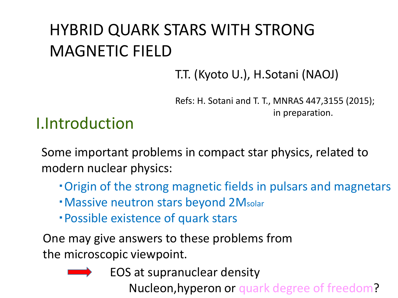# HYBRID QUARK STARS WITH STRONG MAGNETIC FIELD

T.T. (Kyoto U.), H.Sotani (NAOJ)

Refs: H. Sotani and T. T., MNRAS 447,3155 (2015); in preparation.

## I.Introduction

Some important problems in compact star physics, related to modern nuclear physics:

- ・Origin of the strong magnetic fields in pulsars and magnetars
- ・Massive neutron stars beyond 2Msolar
- ・Possible existence of quark stars

One may give answers to these problems from the microscopic viewpoint.



EOS at supranuclear density

Nucleon,hyperon or quark degree of freedom?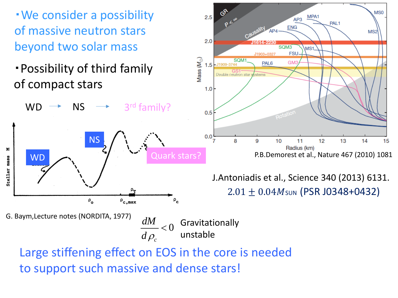・We consider a possibility of massive neutron stars beyond two solar mass

・Possibility of third family of compact stars

NS

 $P_{\alpha}$ 



G. Baym,Lecture notes (NORDITA, 1977)

WD

×

ma 99

Stellar

Gravitationally unstable 0  $d\rho_{c}^{\phantom{\dag}}$ *dM*  $\lt$ 

 $P_{\rm c}$ 

Large stiffening effect on EOS in the core is needed to support such massive and dense stars!

 $\rho_{\rm c,max}$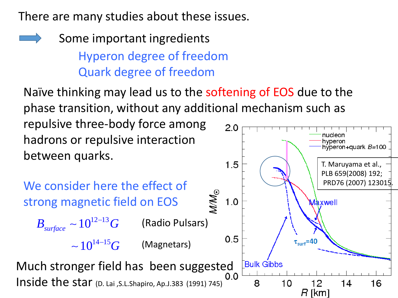There are many studies about these issues.

Some important ingredients Hyperon degree of freedom Quark degree of freedom

Naïve thinking may lead us to the softening of EOS due to the phase transition, without any additional mechanism such as

repulsive three-body force among hadrons or repulsive interaction between quarks.



 $2.0$ 

nucleon hyperon

hýþeron+quark *B=*100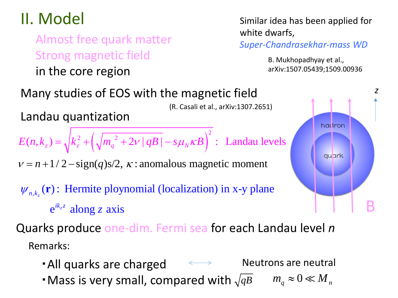Almost free quark matter Strong magnetic field in the core region

II. Model Similar idea has been applied for white dwarfs,

*Super-Chandrasekhar-mass WD*

B. Mukhopadhyay et al., arXiv:1507.05439;1509.00936



Remarks:

- ・All quarks are charged  $\qquad \qquad \Longleftrightarrow$ Neutrons are neutral
- $\cdot$  Mass is very small, compared with  $\sqrt{qB}$  $m_q^2 \approx 0 \ll M_{nq}$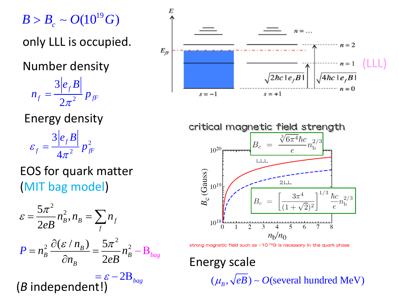$B > B_{c} \sim O(10^{19} G)$ 

only LLL is occupied.

Number density

2 3 2 *f*  $f = \int fF$ *e B*  $n_f = \frac{1}{2}$  *p*  $\pi$ =

Energy density

2 2 3 4 *f*  $f = \frac{1}{4}$   $\frac{2}{F}$ *e B*  $\varepsilon_{f} = \frac{1}{2} \frac{f}{r} p$ π =

## EOS for quark matter (MIT bag model)

$$
\varepsilon = \frac{5\pi^2}{2eB} n_B^2, n_B = \sum_f n_f
$$
  

$$
P = n_B^2 \frac{\partial (\varepsilon / n_B)}{\partial n_B} = \frac{5\pi^2}{2eB} n_B^2 - B_{bag}
$$

 $=\varepsilon - 2B_{bag}$ (*B* independent!)





strong magnetic field such as  $~10^{19}$ G is necessary in the quark phase

Energy scale  $(\mu_{\scriptscriptstyle R}, \sqrt{eB}) \sim O(\text{several hundred MeV})$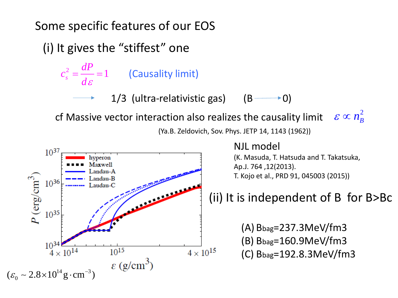## Some specific features of our EOS

(i) It gives the "stiffest" one

*c*

 $\frac{2}{s} = \frac{u}{l} = 1$ *dP* **(Causality limit)** 

1/3 (ultra-relativistic gas)  $(B \rightarrow 0)$ 

cf Massive vector interaction also realizes the causality limit  $\varepsilon \propto n_B^2$ 



(Ya.B. Zeldovich, Sov. Phys. JETP 14, 1143 (1962))



NJL model

(K. Masuda, T. Hatsuda and T. Takatsuka, Ap.J. 764 ,12(2013). T. Kojo et al., PRD 91, 045003 (2015))

## (ii) It is independent of B for B>Bc

(A) Bbag=237.3MeV/fm3 (B) Bbag=160.9MeV/fm3 (C) Bbag=192.8.3MeV/fm3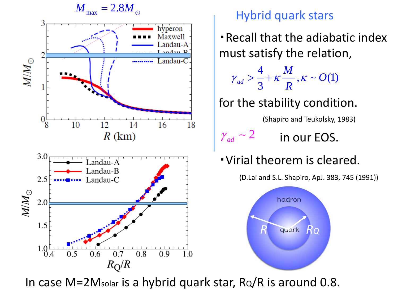

・Recall that the adiabatic index must satisfy the relation,

$$
\gamma_{ad} > \frac{4}{3} + \kappa \frac{M}{R}, \kappa \sim O(1)
$$

for the stability condition.

(Shapiro and Teukolsky, 1983)

 $\gamma_{ad} \sim 2$  **in our EOS.** 

・Virial theorem is cleared.

(D.Lai and S.L. Shapiro, ApJ. 383, 745 (1991))



In case  $M=2M_{\text{solar}}$  is a hybrid quark star,  $R_Q/R$  is around 0.8.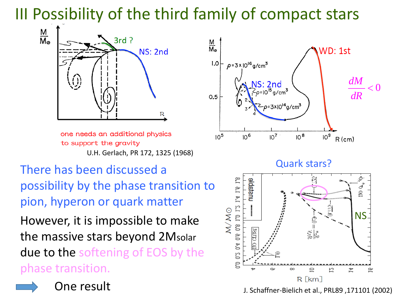# III Possibility of the third family of compact stars



one needs an additional physics to support the gravity U.H. Gerlach, PR 172, 1325 (1968)

There has been discussed a possibility by the phase transition to pion, hyperon or quark matter

However, it is impossible to make the massive stars beyond 2Msolar due to the softening of EOS by the phase transition.



One result



Quark stars?



J. Schaffner-Bielich et al., PRL89 ,171101 (2002)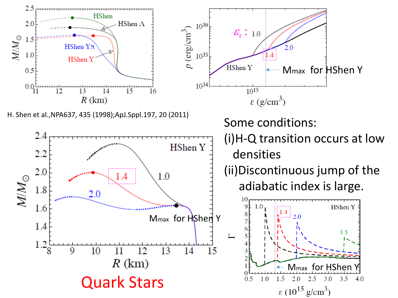



H. Shen et al.,NPA637, 435 (1998);ApJ.Sppl.197, 20 (2011)

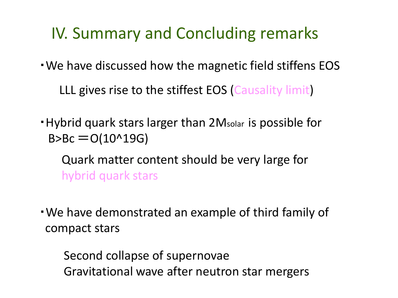# IV. Summary and Concluding remarks

・We have discussed how the magnetic field stiffens EOS

LLL gives rise to the stiffest EOS (Causality limit)

- ・Hybrid quark stars larger than 2Msolar is possible for  $B > BC = O(10^{19}19G)$ 
	- Quark matter content should be very large for hybrid quark stars
- ・We have demonstrated an example of third family of compact stars

Second collapse of supernovae Gravitational wave after neutron star mergers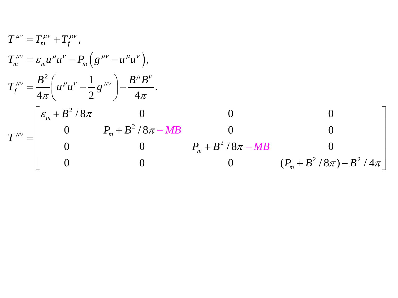$$
T^{\mu\nu} = T_m^{\mu\nu} + T_f^{\mu\nu},
$$
  
\n
$$
T_m^{\mu\nu} = \varepsilon_m u^{\mu} u^{\nu} - P_m (g^{\mu\nu} - u^{\mu} u^{\nu}),
$$
  
\n
$$
T_f^{\mu\nu} = \frac{B^2}{4\pi} \left( u^{\mu} u^{\nu} - \frac{1}{2} g^{\mu\nu} \right) - \frac{B^{\mu} B^{\nu}}{4\pi}.
$$
  
\n
$$
T^{\mu\nu} = \begin{bmatrix} \varepsilon_m + B^2 / 8\pi & 0 & 0 & 0 \\ 0 & P_m + B^2 / 8\pi - MB & 0 & 0 \\ 0 & 0 & P_m + B^2 / 8\pi - MB & 0 \\ 0 & 0 & 0 & (P_m + B^2 / 8\pi) - B^2 / 4\pi \end{bmatrix}
$$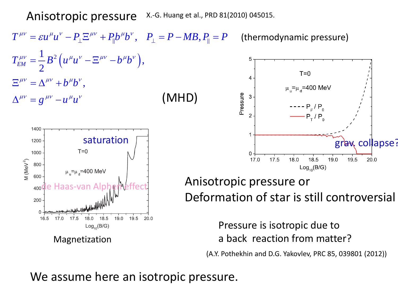Anisotropic pressure X.-G. Huang et al., PRD 81(2010) 045015.

 $T^{\mu\nu}=\varepsilon u^\mu u^\nu-P_\perp\Xi^{\mu\nu}+P_\|b^\mu b^\nu,\;\;\;P_\perp=P-MB, P_\| = P \;\;\;\;\;$  (thermodynamic pressure) 1  $^{2}\left( u^{\mu }u^{\nu }-\Xi ^{\mu \nu }-b^{\mu }b^{\nu }\right)$  $T_{EM}^{\mu\nu} = \frac{1}{2} B^2 \left( u^{\mu} u^{\nu} - \Xi^{\mu\nu} - b^{\mu} b^{\nu} \right)$  $\frac{1}{2}B^2\left(u^{\mu}u^{\nu}-\Xi^{\mu\nu}-b^{\mu}b^{\nu}\right),$  $T=0$  $E^{\mu\nu} = \Delta^{\mu\nu} + b^{\mu}b^{\nu},$  $\mu_{\mu} = \mu_{\mu} = 400$  MeV (MHD) Pressure  $\Delta^{\mu\nu} = g^{\mu\nu} - u^\mu u^\nu$  $--- P_{1}/ P_{0}$  $-P_{\tau}/P_{\rho}$ 1400 saturation and the saturation of the saturation of the saturation of the same saturation of  $\mathbf{g}$  and  $\mathbf{g}$  and  $\mathbf{g}$  and  $\mathbf{g}$  and  $\mathbf{g}$  and  $\mathbf{g}$  and  $\mathbf{g}$  and  $\mathbf{g}$  and  $\mathbf{g}$  and  $\mathbf{g}$  and 1200 1000 17.0 17.5 18.0 18.5 19.0 19.5 20.0 M (MeV<sup>2</sup>) 800  $Log_{10}(B/G)$  $\mu_{u} = \mu_{d} = 400$  MeV 600 Anisotropic pressure or de Haas-van Alphemeffect Deformation of star is still controversial200 0 16.5  $17.0$ 17.5 18.0 18.5 19.0 19.5 20.0 Pressure is isotropic due to  $Log_{10}(B/G)$ a back reaction from matter? Magnetization

(A.Y. Pothekhin and D.G. Yakovlev, PRC 85, 039801 (2012))

We assume here an isotropic pressure.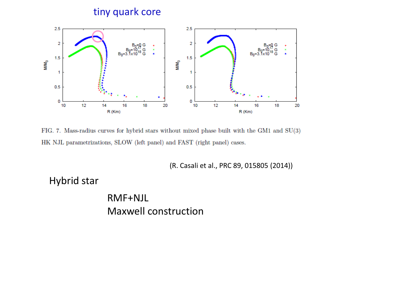### tiny quark core



FIG. 7. Mass-radius curves for hybrid stars without mixed phase built with the GM1 and SU(3) HK NJL parametrizations, SLOW (left panel) and FAST (right panel) cases.

(R. Casali et al., PRC 89, 015805 (2014))

Hybrid star

RMF+NJL Maxwell construction